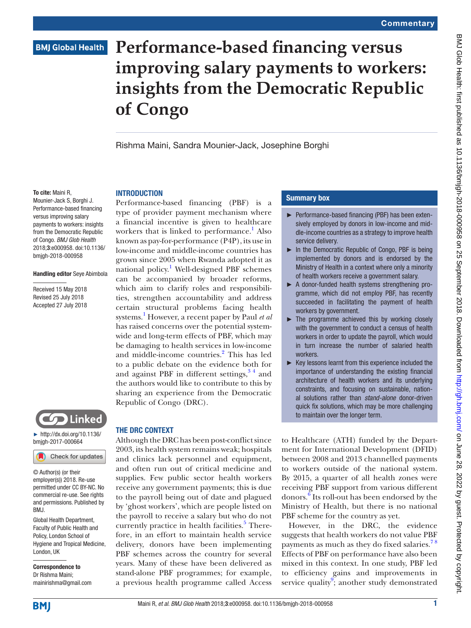# **BMJ Global Health**

# **Performance-based financing versus improving salary payments to workers: insights from the Democratic Republic of Congo**

Rishma Maini, Sandra Mounier-Jack, Josephine Borghi

#### To cite: Maini R,

Mounier-Jack S, Borghi J. Performance-based financing versus improving salary payments to workers: insights from the Democratic Republic of Congo. *BMJ Glob Health* 2018;3:e000958. doi:10.1136/ bmjgh-2018-000958

#### Handling editor Seye Abimbola

Received 15 May 2018 Revised 25 July 2018 Accepted 27 July 2018



► [http://dx.doi.org/10.1136/](http://dx.doi.org/10.1136/bmjgh-2017-000664) [bmjgh-2017-000664](http://dx.doi.org/10.1136/bmjgh-2017-000664)

Check for updates

© Author(s) (or their employer(s)) 2018. Re-use permitted under CC BY-NC. No commercial re-use. See rights and permissions. Published by BMJ.

Global Health Department, Faculty of Public Health and Policy, London School of Hygiene and Tropical Medicine, London, UK

Correspondence to Dr Rishma Maini; mainirishma@gmail.com

# **INTRODUCTION**

Performance-based financing (PBF) is a type of provider payment mechanism where a financial incentive is given to healthcare workers that is linked to performance.<sup>[1](#page-2-0)</sup> Also known as pay-for-performance (P4P), its use in low-income and middle-income countries has grown since 2005 when Rwanda adopted it as national policy.<sup>1</sup> Well-designed PBF schemes can be accompanied by broader reforms, which aim to clarify roles and responsibilities, strengthen accountability and address certain structural problems facing health systems.[1](#page-2-0) However, a recent paper by Paul *et al* has raised concerns over the potential systemwide and long-term effects of PBF, which may be damaging to health services in low-income and middle-income countries.<sup>[2](#page-2-1)</sup> This has led to a public debate on the evidence both for and against PBF in different settings,  $3<sup>34</sup>$  and the authors would like to contribute to this by sharing an experience from the Democratic Republic of Congo (DRC).

## The DRC context

Although the DRC has been post-conflict since 2003, its health system remains weak; hospitals and clinics lack personnel and equipment, and often run out of critical medicine and supplies. Few public sector health workers receive any government payments; this is due to the payroll being out of date and plagued by 'ghost workers', which are people listed on the payroll to receive a salary but who do not currently practice in health facilities.<sup>5</sup> Therefore, in an effort to maintain health service delivery, donors have been implementing PBF schemes across the country for several years. Many of these have been delivered as stand-alone PBF programmes; for example, a previous health programme called Access

## Summary box

- ► Performance-based financing (PBF) has been extensively employed by donors in low-income and middle-income countries as a strategy to improve health service delivery.
- ► In the Democratic Republic of Congo, PBF is being implemented by donors and is endorsed by the Ministry of Health in a context where only a minority of health workers receive a government salary.
- ► A donor-funded health systems strengthening programme, which did not employ PBF, has recently succeeded in facilitating the payment of health workers by government.
- $\blacktriangleright$  The programme achieved this by working closely with the government to conduct a census of health workers in order to update the payroll, which would in turn increase the number of salaried health workers.
- ► Key lessons learnt from this experience included the importance of understanding the existing financial architecture of health workers and its underlying constraints, and focusing on sustainable, national solutions rather than *stand-alone* donor-driven quick fix solutions, which may be more challenging to maintain over the longer term.

to Healthcare (ATH) funded by the Department for International Development (DFID) between 2008 and 2013 channelled payments to workers outside of the national system. By 2015, a quarter of all health zones were receiving PBF support from various different donors[.6](#page-2-4) Its roll-out has been endorsed by the Ministry of Health, but there is no national PBF scheme for the country as yet.

However, in the DRC, the evidence suggests that health workers do not value PBF payments as much as they do fixed salaries.<sup>78</sup> Effects of PBF on performance have also been mixed in this context. In one study, PBF led to efficiency gains and improvements in service quality<sup>[9](#page-2-6)</sup>; another study demonstrated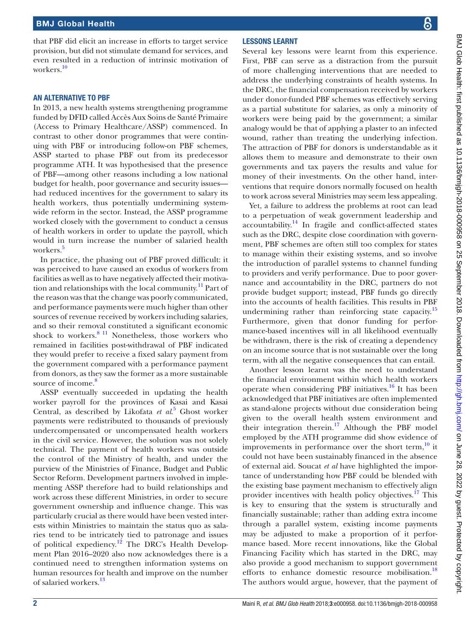that PBF did elicit an increase in efforts to target service provision, but did not stimulate demand for services, and even resulted in a reduction of intrinsic motivation of workers<sup>10</sup>

#### An alternative to PBF

In 2013, a new health systems strengthening programme funded by DFID called Accès Aux Soins de Santé Primaire (Access to Primary Healthcare/ASSP) commenced. In contrast to other donor programmes that were continuing with PBF or introducing follow-on PBF schemes, ASSP started to phase PBF out from its predecessor programme ATH. It was hypothesised that the presence of PBF—among other reasons including a low national budget for health, poor governance and security issues had reduced incentives for the government to salary its health workers, thus potentially undermining systemwide reform in the sector. Instead, the ASSP programme worked closely with the government to conduct a census of health workers in order to update the payroll, which would in turn increase the number of salaried health workers.<sup>5</sup>

In practice, the phasing out of PBF proved difficult: it was perceived to have caused an exodus of workers from facilities as well as to have negatively affected their motivation and relationships with the local community.[11](#page-2-8) Part of the reason was that the change was poorly communicated, and performance payments were much higher than other sources of revenue received by workers including salaries, and so their removal constituted a significant economic shock to workers. $811$  Nonetheless, those workers who remained in facilities post-withdrawal of PBF indicated they would prefer to receive a fixed salary payment from the government compared with a performance payment from donors, as they saw the former as a more sustainable source of income.<sup>[8](#page-2-9)</sup>

ASSP eventually succeeded in updating the health worker payroll for the provinces of Kasai and Kasai Central, as described by Likofata *et al*. [5](#page-2-3) Ghost worker payments were redistributed to thousands of previously undercompensated or uncompensated health workers in the civil service. However, the solution was not solely technical. The payment of health workers was outside the control of the Ministry of health, and under the purview of the Ministries of Finance, Budget and Public Sector Reform. Development partners involved in implementing ASSP therefore had to build relationships and work across these different Ministries, in order to secure government ownership and influence change. This was particularly crucial as there would have been vested interests within Ministries to maintain the status quo as salaries tend to be intricately tied to patronage and issues of political expediency.<sup>12</sup> The DRC's Health Development Plan 2016–2020 also now acknowledges there is a continued need to strengthen information systems on human resources for health and improve on the number of salaried workers.<sup>[13](#page-2-11)</sup>

## Lessons learnt

Several key lessons were learnt from this experience. First, PBF can serve as a distraction from the pursuit of more challenging interventions that are needed to address the underlying constraints of health systems. In the DRC, the financial compensation received by workers under donor-funded PBF schemes was effectively serving as a partial substitute for salaries, as only a minority of workers were being paid by the government; a similar analogy would be that of applying a plaster to an infected wound, rather than treating the underlying infection. The attraction of PBF for donors is understandable as it allows them to measure and demonstrate to their own governments and tax payers the results and value for money of their investments. On the other hand, interventions that require donors normally focused on health to work across several Ministries may seem less appealing.

Yet, a failure to address the problems at root can lead to a perpetuation of weak government leadership and accountability.[14](#page-2-12) In fragile and conflict-affected states such as the DRC, despite close coordination with government, PBF schemes are often still too complex for states to manage within their existing systems, and so involve the introduction of parallel systems to channel funding to providers and verify performance. Due to poor governance and accountability in the DRC, partners do not provide budget support; instead, PBF funds go directly into the accounts of health facilities. This results in PBF undermining rather than reinforcing state capacity.<sup>15</sup> Furthermore, given that donor funding for performance-based incentives will in all likelihood eventually be withdrawn, there is the risk of creating a dependency on an income source that is not sustainable over the long term, with all the negative consequences that can entail.

Another lesson learnt was the need to understand the financial environment within which health workers operate when considering PBF initiatives. $^{16}$  It has been acknowledged that PBF initiatives are often implemented as stand-alone projects without due consideration being given to the overall health system environment and their integration therein. $17$  Although the PBF model employed by the ATH programme did show evidence of improvements in performance over the short term, $\frac{10}{10}$  $\frac{10}{10}$  $\frac{10}{10}$  it could not have been sustainably financed in the absence of external aid. Soucat *et al* have highlighted the importance of understanding how PBF could be blended with the existing base payment mechanism to effectively align provider incentives with health policy objectives.<sup>[17](#page-2-15)</sup> This is key to ensuring that the system is structurally and financially sustainable; rather than adding extra income through a parallel system, existing income payments may be adjusted to make a proportion of it performance based. More recent innovations, like the Global Financing Facility which has started in the DRC, may also provide a good mechanism to support government efforts to enhance domestic resource mobilisation.<sup>18</sup> The authors would argue, however, that the payment of